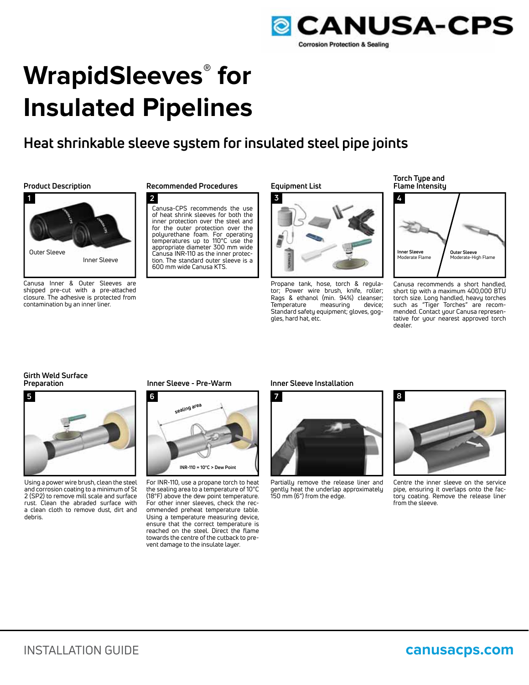

# **WrapidSleeves® for Insulated Pipelines**

# **Heat shrinkable sleeve system for insulated steel pipe joints**



Canusa Inner & Outer Sleeves are shipped pre-cut with a pre-attached closure. The adhesive is protected from contamination by an inner liner.

## **Product Description Recommended Procedures**

**2** Canusa-CPS recommends the use of heat shrink sleeves for both the inner protection over the steel and for the outer protection over the polyurethane foam. For operating temperatures up to 110°C use the appropriate diameter 300 mm wide 600 mm wide Canusa KTS.

#### **Equipment List**



Propane tank, hose, torch & regulator; Power wire brush, knife, roller; Rags & ethanol (min. 94%) cleanser;<br>Temperature measuring device: measuring Standard safety equipment; gloves, goggles, hard hat, etc.

**Torch Type and Flame Intensity**



Canusa recommends a short handled, short tip with a maximum 400,000 BTU torch size. Long handled, heavy torches such as "Tiger Torches" are recommended. Contact your Canusa representative for your nearest approved torch dealer.

# **Girth Weld Surface**



Using a power wire brush, clean the steel and corrosion coating to a minimum of St 2 (SP2) to remove mill scale and surface rust. Clean the abraded surface with a clean cloth to remove dust, dirt and debris.

#### **Inner Sleeve - Pre-Warm Inner Sleeve Installation**



For INR-110, use a propane torch to heat the sealing area to a temperature of 10°C (18°F) above the dew point temperature. For other inner sleeves, check the recommended preheat temperature table. Using a temperature measuring device, ensure that the correct temperature is reached on the steel. Direct the flame towards the centre of the cutback to prevent damage to the insulate layer.



Partially remove the release liner and gently heat the underlap approximately 150 mm (6") from the edge.



Centre the inner sleeve on the service pipe, ensuring it overlaps onto the factory coating. Remove the release liner from the sleeve.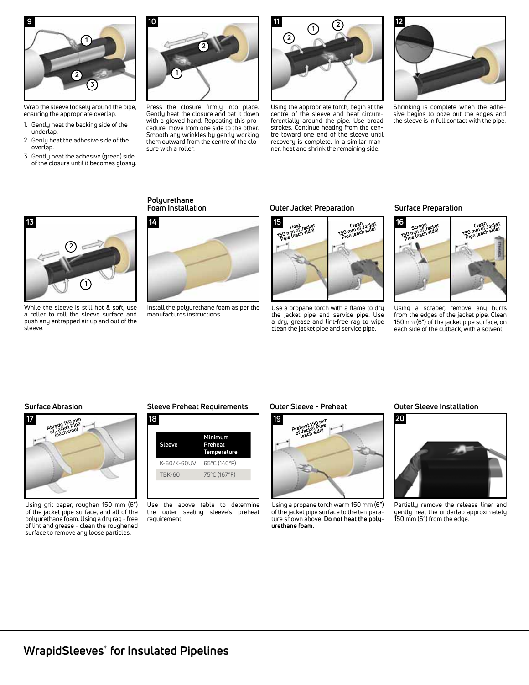

Wrap the sleeve loosely around the pipe, ensuring the appropriate overlap.

- 1. Gently heat the backing side of the underlap.
- 2. Genly heat the adhesive side of the overlap.
- 3. Gently heat the adhesive (green) side of the closure until it becomes glossy.



Press the closure firmly into place. Gently heat the closure and pat it down with a gloved hand. Repeating this procedure, move from one side to the other. Smooth any wrinkles by gently working them outward from the centre of the closure with a roller.



Using the appropriate torch, begin at the centre of the sleeve and heat circumferentially around the pipe. Use broad strokes. Continue heating from the centre toward one end of the sleeve until recovery is complete. In a similar manner, heat and shrink the remaining side.



Shrinking is complete when the adhesive begins to ooze out the edges and the sleeve is in full contact with the pipe.



While the sleeve is still hot & soft, use a roller to roll the sleeve surface and push any entrapped air up and out of the sleeve.

## **Polyurethane**



Install the polyurethane foam as per the manufactures instructions.

#### **Foam Installation Outer Jacket Preparation**



Use a propane torch with a flame to dry the jacket pipe and service pipe. Use a dry, grease and lint-free rag to wipe clean the jacket pipe and service pipe.

#### **Surface Preparation**



Using a scraper, remove any burrs from the edges of the jacket pipe. Clean 150mm (6") of the jacket pipe surface, on each side of the cutback, with a solvent.



Using grit paper, roughen 150 mm (6") of the jacket pipe surface, and all of the polyurethane foam. Using a dry rag - free of lint and grease - clean the roughened surface to remove any loose particles.

### **Surface Abrasion Sleeve Preheat Requirements Outer Sleeve - Preheat Outer Sleeve Installation**



Use the above table to determine the outer sealing sleeve's preheat requirement.



Using a propane torch warm 150 mm (6") of the jacket pipe surface to the temperature shown above. **Do not heat the polyurethane foam.**



Partially remove the release liner and gently heat the underlap approximately 150 mm (6") from the edge.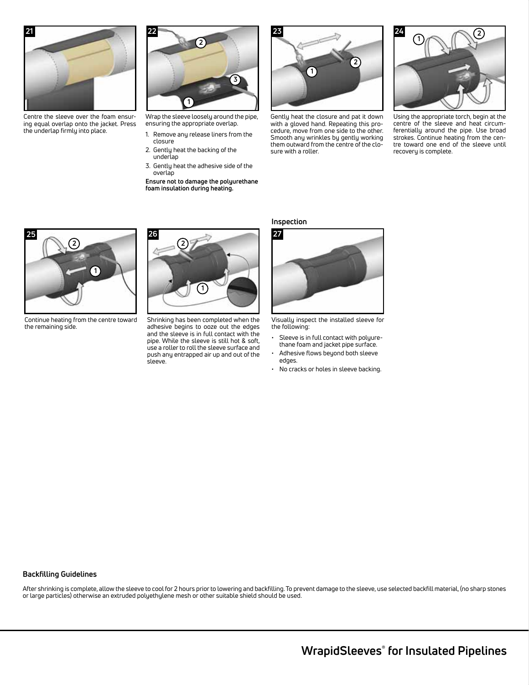

Centre the sleeve over the foam ensuring equal overlap onto the jacket. Press the underlap firmly into place.



Wrap the sleeve loosely around the pipe, ensuring the appropriate overlap.

- 1. Remove any release liners from the closure
- 2. Gently heat the backing of the underlap
- 3. Gently heat the adhesive side of the overlap

**Ensure not to damage the polyurethane foam insulation during heating.**



Gently heat the closure and pat it down with a gloved hand. Repeating this procedure, move from one side to the other. Smooth any wrinkles by gently working them outward from the centre of the closure with a roller.



Using the appropriate torch, begin at the centre of the sleeve and heat circumferentially around the pipe. Use broad strokes. Continue heating from the centre toward one end of the sleeve until recovery is complete.

# **26 27**



Shrinking has been completed when the adhesive begins to ooze out the edges and the sleeve is in full contact with the pipe. While the sleeve is still hot & soft, use a roller to roll the sleeve surface and push any entrapped air up and out of the sleeve.

**Inspection**



Visually inspect the installed sleeve for the following:

- Sleeve is in full contact with polyurethane foam and jacket pipe surface.
- Adhesive flows beyond both sleeve edges.
- No cracks or holes in sleeve backing.

# **1 2 2**

**25**

Continue heating from the centre toward the remaining side.

## **Backfilling Guidelines**

After shrinking is complete, allow the sleeve to cool for 2 hours prior to lowering and backfilling. To prevent damage to the sleeve, use selected backfill material, (no sharp stones or large particles) otherwise an extruded polyethylene mesh or other suitable shield should be used.